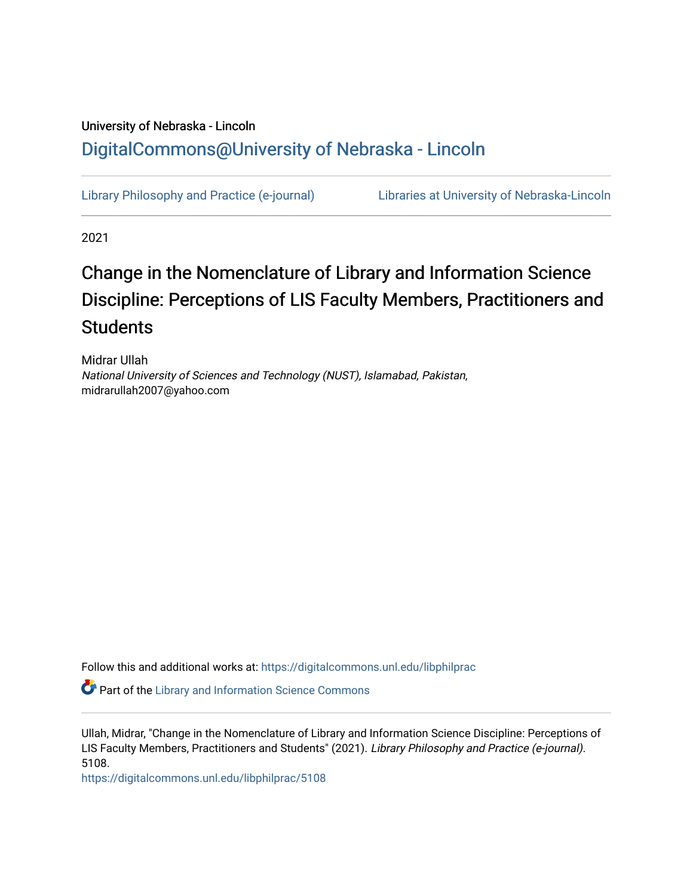## University of Nebraska - Lincoln [DigitalCommons@University of Nebraska - Lincoln](https://digitalcommons.unl.edu/)

[Library Philosophy and Practice \(e-journal\)](https://digitalcommons.unl.edu/libphilprac) [Libraries at University of Nebraska-Lincoln](https://digitalcommons.unl.edu/libraries) 

2021

# Change in the Nomenclature of Library and Information Science Discipline: Perceptions of LIS Faculty Members, Practitioners and **Students**

Midrar Ullah National University of Sciences and Technology (NUST), Islamabad, Pakistan, midrarullah2007@yahoo.com

Follow this and additional works at: [https://digitalcommons.unl.edu/libphilprac](https://digitalcommons.unl.edu/libphilprac?utm_source=digitalcommons.unl.edu%2Flibphilprac%2F5108&utm_medium=PDF&utm_campaign=PDFCoverPages) 

**Part of the Library and Information Science Commons** 

Ullah, Midrar, "Change in the Nomenclature of Library and Information Science Discipline: Perceptions of LIS Faculty Members, Practitioners and Students" (2021). Library Philosophy and Practice (e-journal). 5108.

[https://digitalcommons.unl.edu/libphilprac/5108](https://digitalcommons.unl.edu/libphilprac/5108?utm_source=digitalcommons.unl.edu%2Flibphilprac%2F5108&utm_medium=PDF&utm_campaign=PDFCoverPages)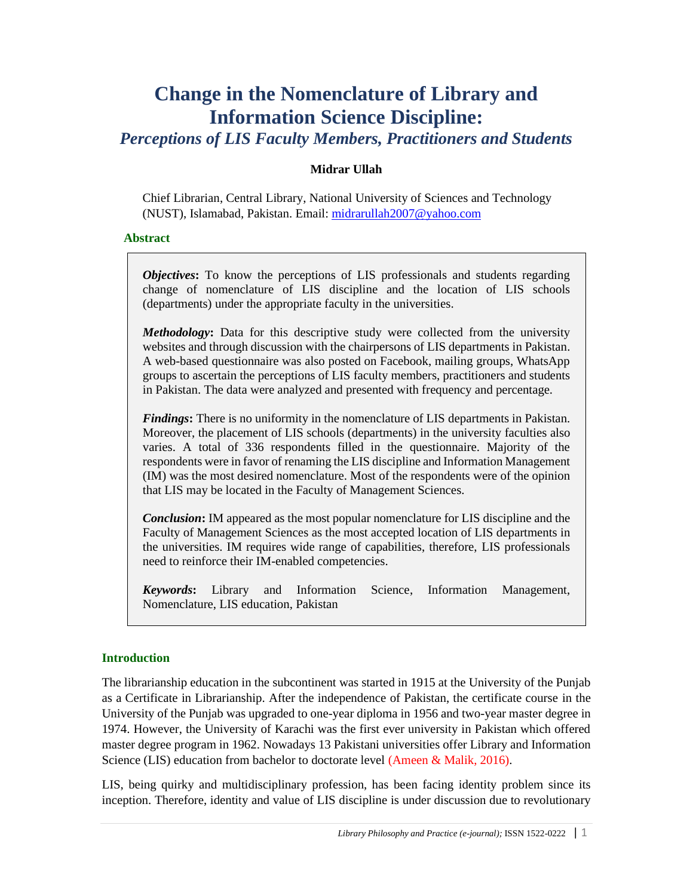## **Change in the Nomenclature of Library and Information Science Discipline:**

*Perceptions of LIS Faculty Members, Practitioners and Students*

## **Midrar Ullah**

Chief Librarian, Central Library, National University of Sciences and Technology (NUST), Islamabad, Pakistan. Email: [midrarullah2007@yahoo.com](mailto:midrarullah2007@yahoo.com)

## **Abstract**

*Objectives*: To know the perceptions of LIS professionals and students regarding change of nomenclature of LIS discipline and the location of LIS schools (departments) under the appropriate faculty in the universities.

*Methodology***:** Data for this descriptive study were collected from the university websites and through discussion with the chairpersons of LIS departments in Pakistan. A web-based questionnaire was also posted on Facebook, mailing groups, WhatsApp groups to ascertain the perceptions of LIS faculty members, practitioners and students in Pakistan. The data were analyzed and presented with frequency and percentage.

*Findings***:** There is no uniformity in the nomenclature of LIS departments in Pakistan. Moreover, the placement of LIS schools (departments) in the university faculties also varies. A total of 336 respondents filled in the questionnaire. Majority of the respondents were in favor of renaming the LIS discipline and Information Management (IM) was the most desired nomenclature. Most of the respondents were of the opinion that LIS may be located in the Faculty of Management Sciences.

*Conclusion***:** IM appeared as the most popular nomenclature for LIS discipline and the Faculty of Management Sciences as the most accepted location of LIS departments in the universities. IM requires wide range of capabilities, therefore, LIS professionals need to reinforce their IM-enabled competencies.

*Keywords***:** Library and Information Science, Information Management, Nomenclature, LIS education, Pakistan

## **Introduction**

The librarianship education in the subcontinent was started in 1915 at the University of the Punjab as a Certificate in Librarianship. After the independence of Pakistan, the certificate course in the University of the Punjab was upgraded to one-year diploma in 1956 and two-year master degree in 1974. However, the University of Karachi was the first ever university in Pakistan which offered master degree program in 1962. Nowadays 13 Pakistani universities offer Library and Information Science (LIS) education from bachelor to doctorate level (Ameen & Malik, 2016).

LIS, being quirky and multidisciplinary profession, has been facing identity problem since its inception. Therefore, identity and value of LIS discipline is under discussion due to revolutionary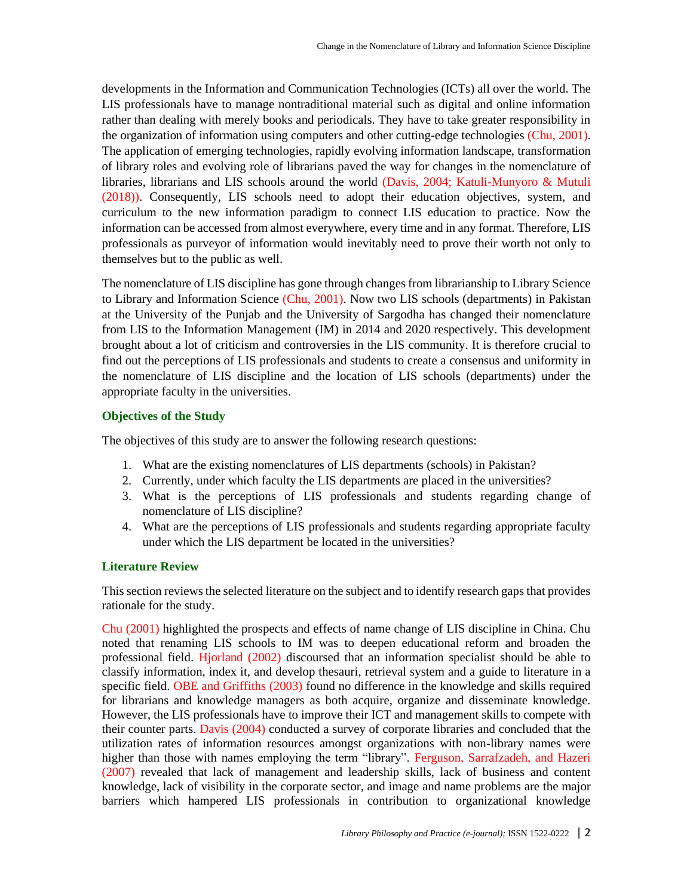developments in the Information and Communication Technologies (ICTs) all over the world. The LIS professionals have to manage nontraditional material such as digital and online information rather than dealing with merely books and periodicals. They have to take greater responsibility in the organization of information using computers and other cutting-edge technologies (Chu, 2001). The application of emerging technologies, rapidly evolving information landscape, transformation of library roles and evolving role of librarians paved the way for changes in the nomenclature of libraries, librarians and LIS schools around the world (Davis, 2004; Katuli-Munyoro & Mutuli (2018)). Consequently, LIS schools need to adopt their education objectives, system, and curriculum to the new information paradigm to connect LIS education to practice. Now the information can be accessed from almost everywhere, every time and in any format. Therefore, LIS professionals as purveyor of information would inevitably need to prove their worth not only to themselves but to the public as well.

The nomenclature of LIS discipline has gone through changes from librarianship to Library Science to Library and Information Science (Chu, 2001). Now two LIS schools (departments) in Pakistan at the University of the Punjab and the University of Sargodha has changed their nomenclature from LIS to the Information Management (IM) in 2014 and 2020 respectively. This development brought about a lot of criticism and controversies in the LIS community. It is therefore crucial to find out the perceptions of LIS professionals and students to create a consensus and uniformity in the nomenclature of LIS discipline and the location of LIS schools (departments) under the appropriate faculty in the universities.

#### **Objectives of the Study**

The objectives of this study are to answer the following research questions:

- 1. What are the existing nomenclatures of LIS departments (schools) in Pakistan?
- 2. Currently, under which faculty the LIS departments are placed in the universities?
- 3. What is the perceptions of LIS professionals and students regarding change of nomenclature of LIS discipline?
- 4. What are the perceptions of LIS professionals and students regarding appropriate faculty under which the LIS department be located in the universities?

## **Literature Review**

This section reviews the selected literature on the subject and to identify research gaps that provides rationale for the study.

Chu (2001) highlighted the prospects and effects of name change of LIS discipline in China. Chu noted that renaming LIS schools to IM was to deepen educational reform and broaden the professional field. Hjorland (2002) discoursed that an information specialist should be able to classify information, index it, and develop thesauri, retrieval system and a guide to literature in a specific field. OBE and Griffiths (2003) found no difference in the knowledge and skills required for librarians and knowledge managers as both acquire, organize and disseminate knowledge. However, the LIS professionals have to improve their ICT and management skills to compete with their counter parts. Davis (2004) conducted a survey of corporate libraries and concluded that the utilization rates of information resources amongst organizations with non-library names were higher than those with names employing the term "library". Ferguson, Sarrafzadeh, and Hazeri (2007) revealed that lack of management and leadership skills, lack of business and content knowledge, lack of visibility in the corporate sector, and image and name problems are the major barriers which hampered LIS professionals in contribution to organizational knowledge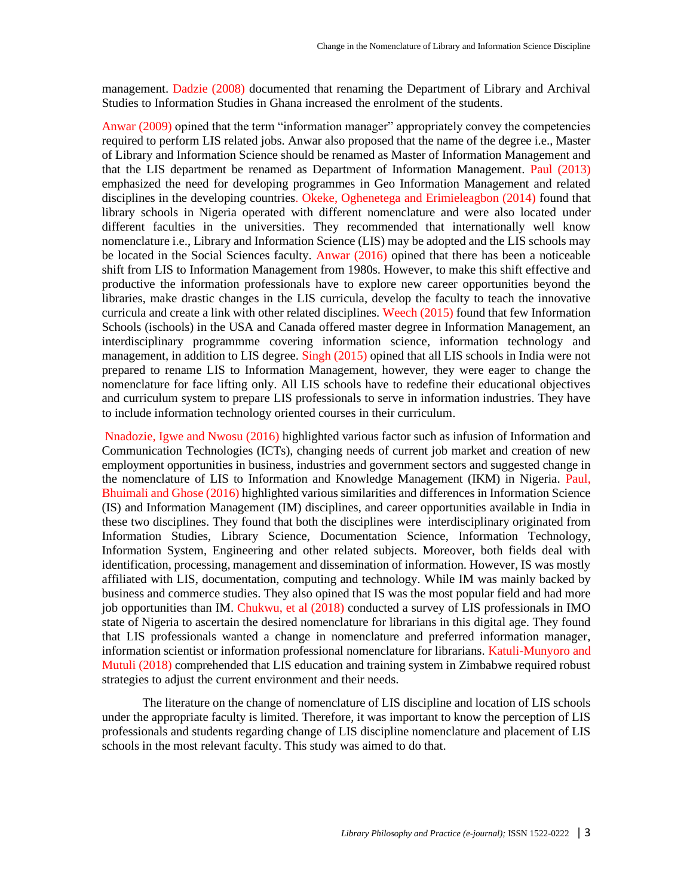management. Dadzie (2008) documented that renaming the Department of Library and Archival Studies to Information Studies in Ghana increased the enrolment of the students.

Anwar (2009) opined that the term "information manager" appropriately convey the competencies required to perform LIS related jobs. Anwar also proposed that the name of the degree i.e., Master of Library and Information Science should be renamed as Master of Information Management and that the LIS department be renamed as Department of Information Management. Paul (2013) emphasized the need for developing programmes in Geo Information Management and related disciplines in the developing countries. Okeke, Oghenetega and Erimieleagbon (2014) found that library schools in Nigeria operated with different nomenclature and were also located under different faculties in the universities. They recommended that internationally well know nomenclature i.e., Library and Information Science (LIS) may be adopted and the LIS schools may be located in the Social Sciences faculty. Anwar (2016) opined that there has been a noticeable shift from LIS to Information Management from 1980s. However, to make this shift effective and productive the information professionals have to explore new career opportunities beyond the libraries, make drastic changes in the LIS curricula, develop the faculty to teach the innovative curricula and create a link with other related disciplines. Weech (2015) found that few Information Schools (ischools) in the USA and Canada offered master degree in Information Management, an interdisciplinary programmme covering information science, information technology and management, in addition to LIS degree. Singh (2015) opined that all LIS schools in India were not prepared to rename LIS to Information Management, however, they were eager to change the nomenclature for face lifting only. All LIS schools have to redefine their educational objectives and curriculum system to prepare LIS professionals to serve in information industries. They have to include information technology oriented courses in their curriculum.

Nnadozie, Igwe and Nwosu (2016) highlighted various factor such as infusion of Information and Communication Technologies (ICTs), changing needs of current job market and creation of new employment opportunities in business, industries and government sectors and suggested change in the nomenclature of LIS to Information and Knowledge Management (IKM) in Nigeria. Paul, Bhuimali and Ghose (2016) highlighted various similarities and differences in Information Science (IS) and Information Management (IM) disciplines, and career opportunities available in India in these two disciplines. They found that both the disciplines were interdisciplinary originated from Information Studies, Library Science, Documentation Science, Information Technology, Information System, Engineering and other related subjects. Moreover, both fields deal with identification, processing, management and dissemination of information. However, IS was mostly affiliated with LIS, documentation, computing and technology. While IM was mainly backed by business and commerce studies. They also opined that IS was the most popular field and had more job opportunities than IM. Chukwu, et al (2018) conducted a survey of LIS professionals in IMO state of Nigeria to ascertain the desired nomenclature for librarians in this digital age. They found that LIS professionals wanted a change in nomenclature and preferred information manager, information scientist or information professional nomenclature for librarians. Katuli-Munyoro and Mutuli (2018) comprehended that LIS education and training system in Zimbabwe required robust strategies to adjust the current environment and their needs.

The literature on the change of nomenclature of LIS discipline and location of LIS schools under the appropriate faculty is limited. Therefore, it was important to know the perception of LIS professionals and students regarding change of LIS discipline nomenclature and placement of LIS schools in the most relevant faculty. This study was aimed to do that.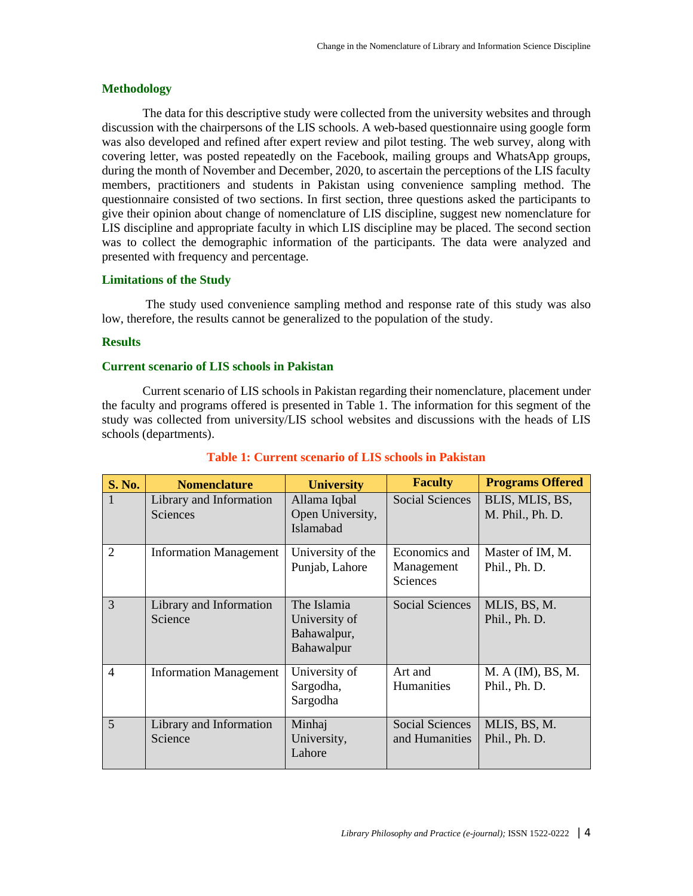#### **Methodology**

The data for this descriptive study were collected from the university websites and through discussion with the chairpersons of the LIS schools. A web-based questionnaire using google form was also developed and refined after expert review and pilot testing. The web survey, along with covering letter, was posted repeatedly on the Facebook, mailing groups and WhatsApp groups, during the month of November and December, 2020, to ascertain the perceptions of the LIS faculty members, practitioners and students in Pakistan using convenience sampling method. The questionnaire consisted of two sections. In first section, three questions asked the participants to give their opinion about change of nomenclature of LIS discipline, suggest new nomenclature for LIS discipline and appropriate faculty in which LIS discipline may be placed. The second section was to collect the demographic information of the participants. The data were analyzed and presented with frequency and percentage.

#### **Limitations of the Study**

The study used convenience sampling method and response rate of this study was also low, therefore, the results cannot be generalized to the population of the study.

#### **Results**

#### **Current scenario of LIS schools in Pakistan**

Current scenario of LIS schools in Pakistan regarding their nomenclature, placement under the faculty and programs offered is presented in Table 1. The information for this segment of the study was collected from university/LIS school websites and discussions with the heads of LIS schools (departments).

| <b>S. No.</b>  | <b>Nomenclature</b>                 | <b>University</b>                                         | <b>Faculty</b>                           | <b>Programs Offered</b>             |
|----------------|-------------------------------------|-----------------------------------------------------------|------------------------------------------|-------------------------------------|
|                | Library and Information<br>Sciences | Allama Iqbal<br>Open University,<br>Islamabad             | <b>Social Sciences</b>                   | BLIS, MLIS, BS,<br>M. Phil., Ph. D. |
| $\overline{2}$ | <b>Information Management</b>       | University of the<br>Punjab, Lahore                       | Economics and<br>Management<br>Sciences  | Master of IM, M.<br>Phil., Ph. D.   |
| 3              | Library and Information<br>Science  | The Islamia<br>University of<br>Bahawalpur,<br>Bahawalpur | <b>Social Sciences</b>                   | MLIS, BS, M.<br>Phil., Ph. D.       |
| $\overline{4}$ | <b>Information Management</b>       | University of<br>Sargodha,<br>Sargodha                    | Art and<br>Humanities                    | M. A (IM), BS, M.<br>Phil., Ph. D.  |
| 5 <sup>1</sup> | Library and Information<br>Science  | Minhaj<br>University,<br>Lahore                           | <b>Social Sciences</b><br>and Humanities | MLIS, BS, M.<br>Phil., Ph. D.       |

#### **Table 1: Current scenario of LIS schools in Pakistan**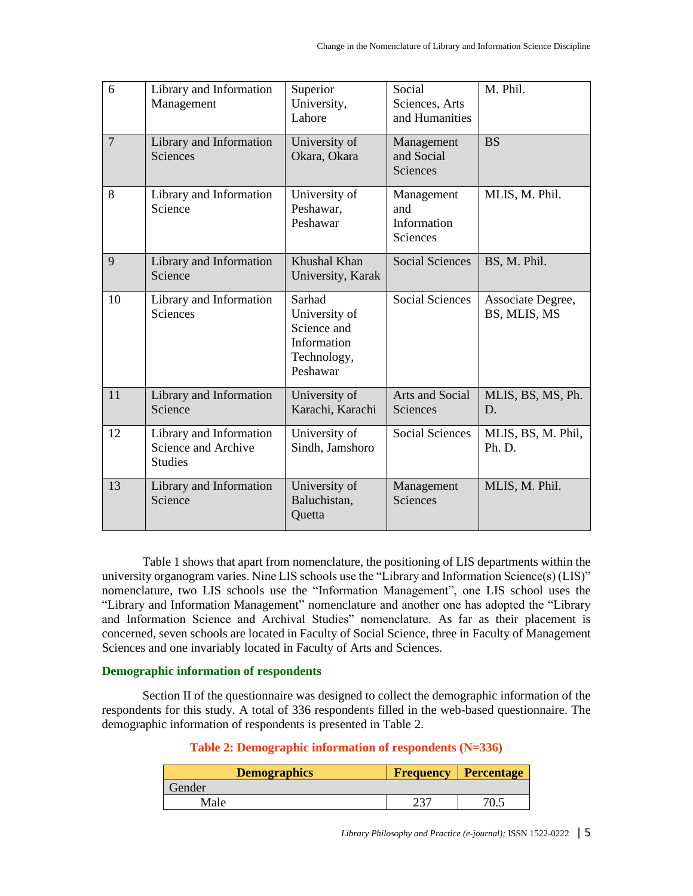| 6              | Library and Information<br>Management                            | Superior<br>University,<br>Lahore                                                | Social<br>Sciences, Arts<br>and Humanities   | M. Phil.                          |
|----------------|------------------------------------------------------------------|----------------------------------------------------------------------------------|----------------------------------------------|-----------------------------------|
| $\overline{7}$ | Library and Information<br><b>Sciences</b>                       | University of<br>Okara, Okara                                                    | Management<br>and Social<br>Sciences         | <b>BS</b>                         |
| 8              | Library and Information<br>Science                               | University of<br>Peshawar,<br>Peshawar                                           | Management<br>and<br>Information<br>Sciences | MLIS, M. Phil.                    |
| 9              | Library and Information<br>Science                               | Khushal Khan<br>University, Karak                                                | <b>Social Sciences</b>                       | BS, M. Phil.                      |
| 10             | Library and Information<br><b>Sciences</b>                       | Sarhad<br>University of<br>Science and<br>Information<br>Technology,<br>Peshawar | <b>Social Sciences</b>                       | Associate Degree,<br>BS, MLIS, MS |
| 11             | Library and Information<br>Science                               | University of<br>Karachi, Karachi                                                | Arts and Social<br>Sciences                  | MLIS, BS, MS, Ph.<br>D.           |
| 12             | Library and Information<br>Science and Archive<br><b>Studies</b> | University of<br>Sindh, Jamshoro                                                 | <b>Social Sciences</b>                       | MLIS, BS, M. Phil,<br>Ph. D.      |
| 13             | Library and Information<br>Science                               | University of<br>Baluchistan,<br>Quetta                                          | Management<br>Sciences                       | MLIS, M. Phil.                    |

Table 1 shows that apart from nomenclature, the positioning of LIS departments within the university organogram varies. Nine LIS schools use the "Library and Information Science(s) (LIS)" nomenclature, two LIS schools use the "Information Management", one LIS school uses the "Library and Information Management" nomenclature and another one has adopted the "Library and Information Science and Archival Studies" nomenclature. As far as their placement is concerned, seven schools are located in Faculty of Social Science, three in Faculty of Management Sciences and one invariably located in Faculty of Arts and Sciences.

#### **Demographic information of respondents**

Section II of the questionnaire was designed to collect the demographic information of the respondents for this study. A total of 336 respondents filled in the web-based questionnaire. The demographic information of respondents is presented in Table 2.

## **Table 2: Demographic information of respondents (N=336)**

| <b>Demographics</b> | <b>Frequency Percentage</b> |
|---------------------|-----------------------------|
| Gender              |                             |
| Male                |                             |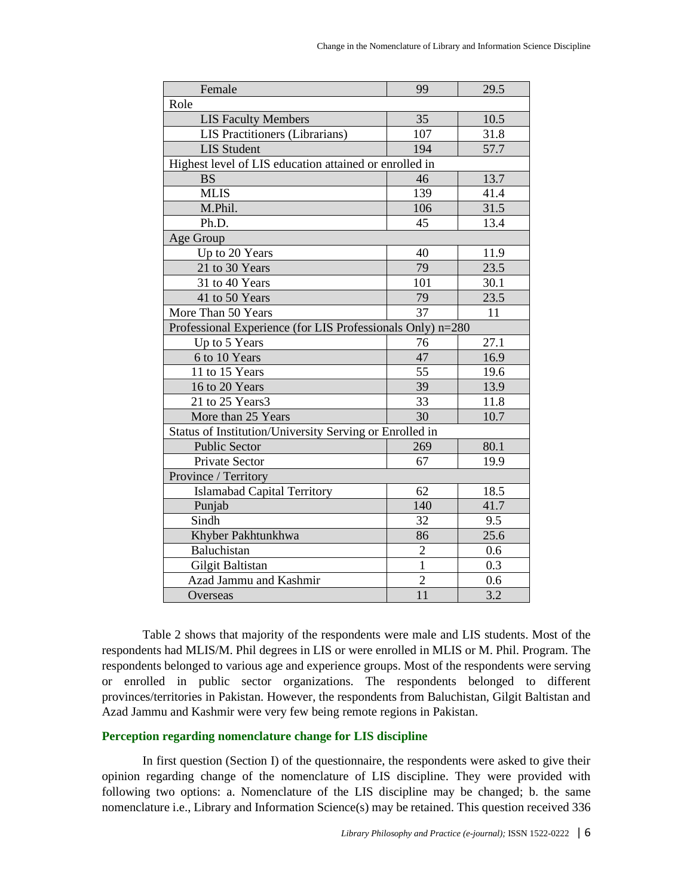| Female                                                     | 99              | 29.5             |  |
|------------------------------------------------------------|-----------------|------------------|--|
| Role                                                       |                 |                  |  |
| <b>LIS Faculty Members</b>                                 | 35              | 10.5             |  |
| LIS Practitioners (Librarians)                             | 107             | 31.8             |  |
| <b>LIS Student</b>                                         | 194             | 57.7             |  |
| Highest level of LIS education attained or enrolled in     |                 |                  |  |
| <b>BS</b>                                                  | 46              | 13.7             |  |
| <b>MLIS</b>                                                | 139             | 41.4             |  |
| M.Phil.                                                    | 106             | 31.5             |  |
| Ph.D.                                                      | 45              | 13.4             |  |
| Age Group                                                  |                 |                  |  |
| Up to 20 Years                                             | 40              | 11.9             |  |
| 21 to 30 Years                                             | 79              | 23.5             |  |
| 31 to 40 Years                                             | 101             | 30.1             |  |
| 41 to 50 Years                                             | 79              | 23.5             |  |
| More Than 50 Years                                         | 37              | 11               |  |
| Professional Experience (for LIS Professionals Only) n=280 |                 |                  |  |
| Up to 5 Years                                              | 76              | 27.1             |  |
| 6 to 10 Years                                              | 47              | 16.9             |  |
| 11 to 15 Years                                             | 55              | 19.6             |  |
| 16 to 20 Years                                             | 39              | 13.9             |  |
| 21 to 25 Years3                                            | 33              | 11.8             |  |
| More than 25 Years                                         | 30              | 10.7             |  |
| Status of Institution/University Serving or Enrolled in    |                 |                  |  |
| <b>Public Sector</b>                                       | 269             | 80.1             |  |
| Private Sector                                             | 67              | 19.9             |  |
| Province / Territory                                       |                 |                  |  |
| <b>Islamabad Capital Territory</b>                         | 62              | 18.5             |  |
| Punjab                                                     | 140             | 41.7             |  |
| Sindh                                                      | 32              | 9.5              |  |
| Khyber Pakhtunkhwa                                         | 86              | 25.6             |  |
| Baluchistan                                                | $\sqrt{2}$      | 0.6              |  |
| Gilgit Baltistan                                           | $\mathbf{1}$    | 0.3              |  |
| Azad Jammu and Kashmir                                     | $\overline{2}$  | 0.6              |  |
| Overseas                                                   | $\overline{11}$ | $\overline{3.2}$ |  |

Table 2 shows that majority of the respondents were male and LIS students. Most of the respondents had MLIS/M. Phil degrees in LIS or were enrolled in MLIS or M. Phil. Program. The respondents belonged to various age and experience groups. Most of the respondents were serving or enrolled in public sector organizations. The respondents belonged to different provinces/territories in Pakistan. However, the respondents from Baluchistan, Gilgit Baltistan and Azad Jammu and Kashmir were very few being remote regions in Pakistan.

## **Perception regarding nomenclature change for LIS discipline**

In first question (Section I) of the questionnaire, the respondents were asked to give their opinion regarding change of the nomenclature of LIS discipline. They were provided with following two options: a. Nomenclature of the LIS discipline may be changed; b. the same nomenclature i.e., Library and Information Science(s) may be retained. This question received 336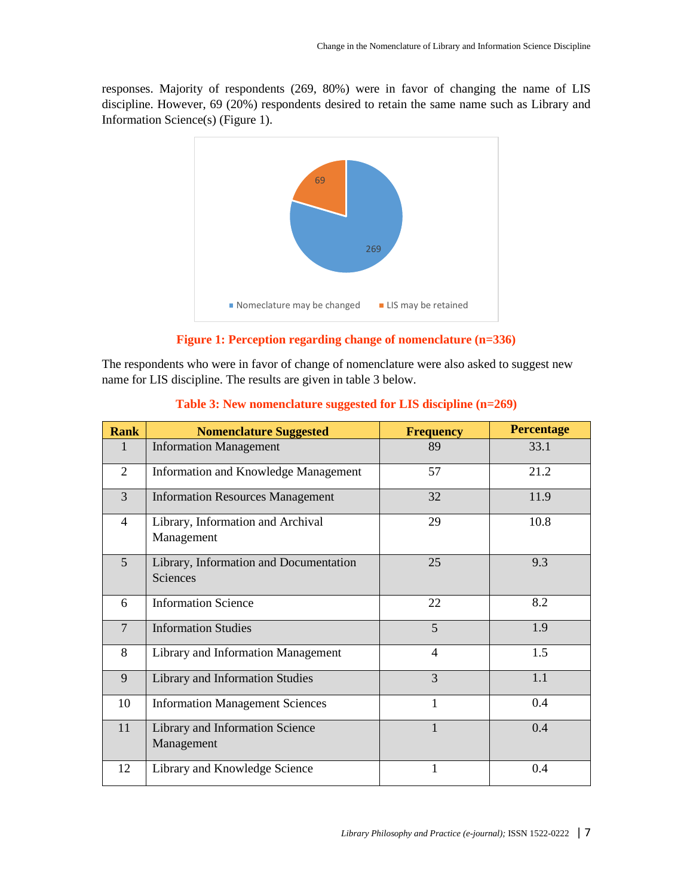responses. Majority of respondents (269, 80%) were in favor of changing the name of LIS discipline. However, 69 (20%) respondents desired to retain the same name such as Library and Information Science(s) (Figure 1).



**Figure 1: Perception regarding change of nomenclature (n=336)**

The respondents who were in favor of change of nomenclature were also asked to suggest new name for LIS discipline. The results are given in table 3 below.

| <b>Rank</b>    | <b>Nomenclature Suggested</b>                      | <b>Frequency</b> | <b>Percentage</b> |
|----------------|----------------------------------------------------|------------------|-------------------|
| $\mathbf{1}$   | <b>Information Management</b>                      | 89               | 33.1              |
| $\overline{2}$ | Information and Knowledge Management               | 57               | 21.2              |
| $\overline{3}$ | <b>Information Resources Management</b>            | 32               | 11.9              |
| $\overline{4}$ | Library, Information and Archival<br>Management    | 29               | 10.8              |
| $\overline{5}$ | Library, Information and Documentation<br>Sciences | 25               | 9.3               |
| 6              | <b>Information Science</b>                         | 22               | 8.2               |
| $\overline{7}$ | <b>Information Studies</b>                         | 5                | 1.9               |
| 8              | Library and Information Management                 | $\overline{4}$   | 1.5               |
| 9              | <b>Library and Information Studies</b>             | $\overline{3}$   | 1.1               |
| 10             | <b>Information Management Sciences</b>             | 1                | 0.4               |
| 11             | Library and Information Science<br>Management      | 1                | 0.4               |
| 12             | Library and Knowledge Science                      | 1                | 0.4               |

## **Table 3: New nomenclature suggested for LIS discipline (n=269)**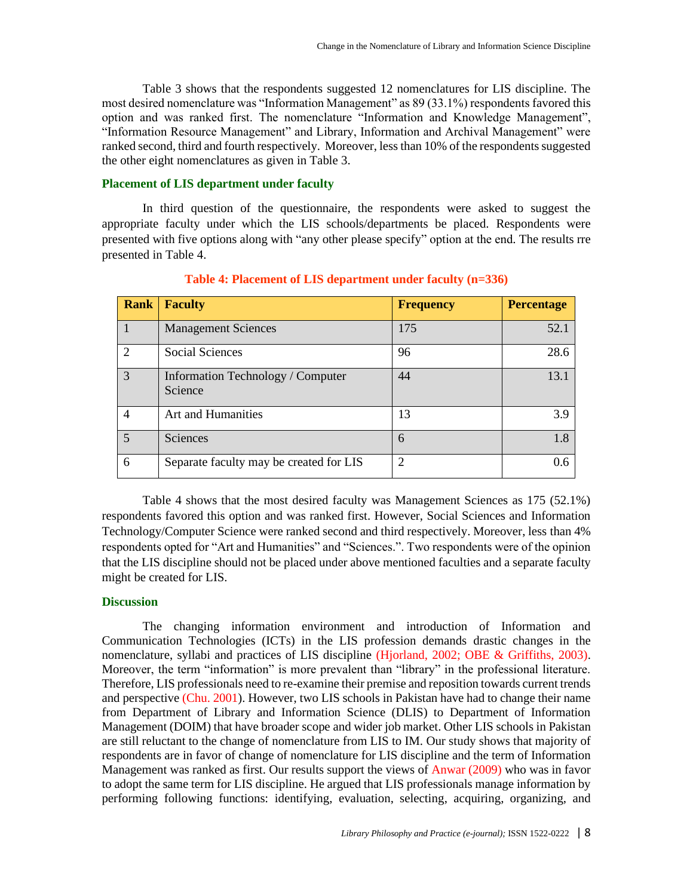Table 3 shows that the respondents suggested 12 nomenclatures for LIS discipline. The most desired nomenclature was "Information Management" as 89 (33.1%) respondents favored this option and was ranked first. The nomenclature "Information and Knowledge Management", "Information Resource Management" and Library, Information and Archival Management" were ranked second, third and fourth respectively. Moreover, less than 10% of the respondents suggested the other eight nomenclatures as given in Table 3.

#### **Placement of LIS department under faculty**

In third question of the questionnaire, the respondents were asked to suggest the appropriate faculty under which the LIS schools/departments be placed. Respondents were presented with five options along with "any other please specify" option at the end. The results rre presented in Table 4.

| <b>Rank</b>    | <b>Faculty</b>                                      | <b>Frequency</b> | <b>Percentage</b> |
|----------------|-----------------------------------------------------|------------------|-------------------|
|                | <b>Management Sciences</b>                          | 175              | 52.1              |
| $\overline{2}$ | <b>Social Sciences</b>                              | 96               | 28.6              |
| 3              | <b>Information Technology / Computer</b><br>Science | 44               | 13.1              |
| 4              | Art and Humanities                                  | 13               | 3.9               |
| 5              | Sciences                                            | 6                | 1.8               |
| 6              | Separate faculty may be created for LIS             | $\overline{2}$   | $0.6^{\circ}$     |

**Table 4: Placement of LIS department under faculty (n=336)**

Table 4 shows that the most desired faculty was Management Sciences as 175 (52.1%) respondents favored this option and was ranked first. However, Social Sciences and Information Technology/Computer Science were ranked second and third respectively. Moreover, less than 4% respondents opted for "Art and Humanities" and "Sciences.". Two respondents were of the opinion that the LIS discipline should not be placed under above mentioned faculties and a separate faculty might be created for LIS.

#### **Discussion**

The changing information environment and introduction of Information and Communication Technologies (ICTs) in the LIS profession demands drastic changes in the nomenclature, syllabi and practices of LIS discipline (Hjorland, 2002; OBE & Griffiths, 2003). Moreover, the term "information" is more prevalent than "library" in the professional literature. Therefore, LIS professionals need to re-examine their premise and reposition towards current trends and perspective (Chu. 2001). However, two LIS schools in Pakistan have had to change their name from Department of Library and Information Science (DLIS) to Department of Information Management (DOIM) that have broader scope and wider job market. Other LIS schools in Pakistan are still reluctant to the change of nomenclature from LIS to IM. Our study shows that majority of respondents are in favor of change of nomenclature for LIS discipline and the term of Information Management was ranked as first. Our results support the views of Anwar (2009) who was in favor to adopt the same term for LIS discipline. He argued that LIS professionals manage information by performing following functions: identifying, evaluation, selecting, acquiring, organizing, and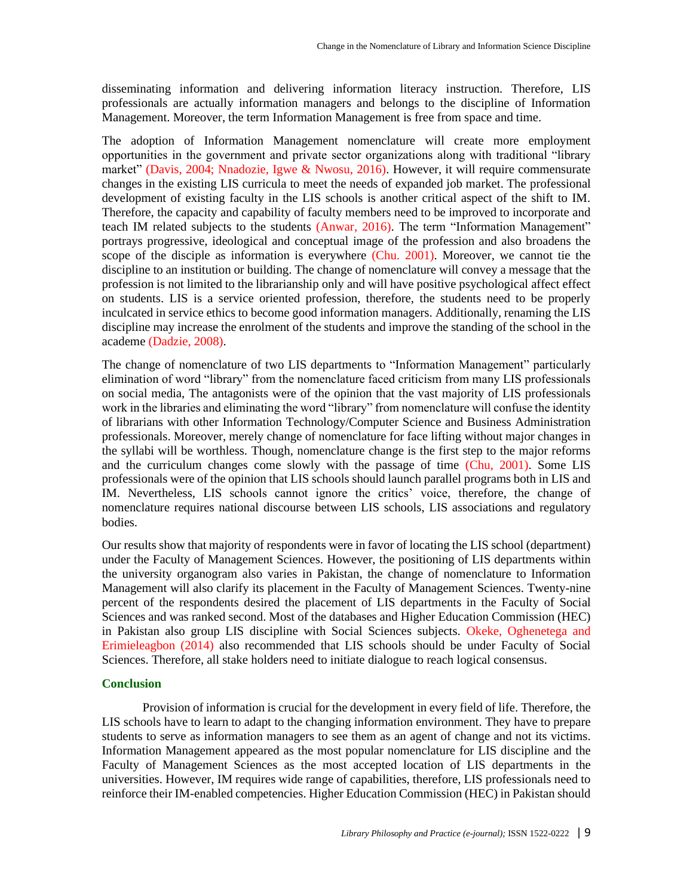disseminating information and delivering information literacy instruction. Therefore, LIS professionals are actually information managers and belongs to the discipline of Information Management. Moreover, the term Information Management is free from space and time.

The adoption of Information Management nomenclature will create more employment opportunities in the government and private sector organizations along with traditional "library market" (Davis, 2004; Nnadozie, Igwe & Nwosu, 2016). However, it will require commensurate changes in the existing LIS curricula to meet the needs of expanded job market. The professional development of existing faculty in the LIS schools is another critical aspect of the shift to IM. Therefore, the capacity and capability of faculty members need to be improved to incorporate and teach IM related subjects to the students (Anwar, 2016). The term "Information Management" portrays progressive, ideological and conceptual image of the profession and also broadens the scope of the disciple as information is everywhere (Chu. 2001). Moreover, we cannot tie the discipline to an institution or building. The change of nomenclature will convey a message that the profession is not limited to the librarianship only and will have positive psychological affect effect on students. LIS is a service oriented profession, therefore, the students need to be properly inculcated in service ethics to become good information managers. Additionally, renaming the LIS discipline may increase the enrolment of the students and improve the standing of the school in the academe (Dadzie, 2008).

The change of nomenclature of two LIS departments to "Information Management" particularly elimination of word "library" from the nomenclature faced criticism from many LIS professionals on social media, The antagonists were of the opinion that the vast majority of LIS professionals work in the libraries and eliminating the word "library" from nomenclature will confuse the identity of librarians with other Information Technology/Computer Science and Business Administration professionals. Moreover, merely change of nomenclature for face lifting without major changes in the syllabi will be worthless. Though, nomenclature change is the first step to the major reforms and the curriculum changes come slowly with the passage of time (Chu, 2001). Some LIS professionals were of the opinion that LIS schools should launch parallel programs both in LIS and IM. Nevertheless, LIS schools cannot ignore the critics' voice, therefore, the change of nomenclature requires national discourse between LIS schools, LIS associations and regulatory bodies.

Our results show that majority of respondents were in favor of locating the LIS school (department) under the Faculty of Management Sciences. However, the positioning of LIS departments within the university organogram also varies in Pakistan, the change of nomenclature to Information Management will also clarify its placement in the Faculty of Management Sciences. Twenty-nine percent of the respondents desired the placement of LIS departments in the Faculty of Social Sciences and was ranked second. Most of the databases and Higher Education Commission (HEC) in Pakistan also group LIS discipline with Social Sciences subjects. Okeke, Oghenetega and Erimieleagbon (2014) also recommended that LIS schools should be under Faculty of Social Sciences. Therefore, all stake holders need to initiate dialogue to reach logical consensus.

#### **Conclusion**

Provision of information is crucial for the development in every field of life. Therefore, the LIS schools have to learn to adapt to the changing information environment. They have to prepare students to serve as information managers to see them as an agent of change and not its victims. Information Management appeared as the most popular nomenclature for LIS discipline and the Faculty of Management Sciences as the most accepted location of LIS departments in the universities. However, IM requires wide range of capabilities, therefore, LIS professionals need to reinforce their IM-enabled competencies. Higher Education Commission (HEC) in Pakistan should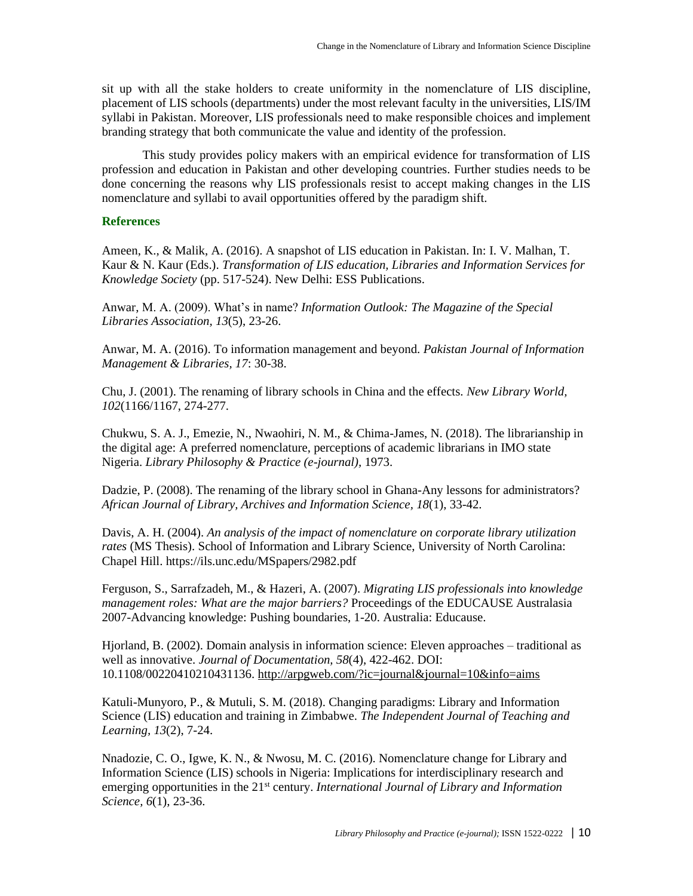sit up with all the stake holders to create uniformity in the nomenclature of LIS discipline, placement of LIS schools (departments) under the most relevant faculty in the universities, LIS/IM syllabi in Pakistan. Moreover, LIS professionals need to make responsible choices and implement branding strategy that both communicate the value and identity of the profession.

This study provides policy makers with an empirical evidence for transformation of LIS profession and education in Pakistan and other developing countries. Further studies needs to be done concerning the reasons why LIS professionals resist to accept making changes in the LIS nomenclature and syllabi to avail opportunities offered by the paradigm shift.

#### **References**

Ameen, K., & Malik, A. (2016). A snapshot of LIS education in Pakistan. In: I. V. Malhan, T. Kaur & N. Kaur (Eds.). *Transformation of LIS education, Libraries and Information Services for Knowledge Society* (pp. 517-524). New Delhi: ESS Publications.

Anwar, M. A. (2009). What's in name? *Information Outlook: The Magazine of the Special Libraries Association, 13*(5), 23-26.

Anwar, M. A. (2016). To information management and beyond. *Pakistan Journal of Information Management & Libraries, 17*: 30-38.

Chu, J. (2001). The renaming of library schools in China and the effects. *New Library World, 102*(1166/1167, 274-277.

Chukwu, S. A. J., Emezie, N., Nwaohiri, N. M., & Chima-James, N. (2018). The librarianship in the digital age: A preferred nomenclature, perceptions of academic librarians in IMO state Nigeria. *Library Philosophy & Practice (e-journal),* 1973.

Dadzie, P. (2008). The renaming of the library school in Ghana-Any lessons for administrators? *African Journal of Library, Archives and Information Science, 18*(1), 33-42.

Davis, A. H. (2004). *An analysis of the impact of nomenclature on corporate library utilization rates* (MS Thesis). School of Information and Library Science, University of North Carolina: Chapel Hill. https://ils.unc.edu/MSpapers/2982.pdf

Ferguson, S., Sarrafzadeh, M., & Hazeri, A. (2007). *Migrating LIS professionals into knowledge management roles: What are the major barriers?* Proceedings of the EDUCAUSE Australasia 2007-Advancing knowledge: Pushing boundaries, 1-20. Australia: Educause.

Hjorland, B. (2002). Domain analysis in information science: Eleven approaches – traditional as well as innovative. *Journal of Documentation, 58*(4), 422-462. DOI: 10.1108/00220410210431136. http://arpgweb.com/?ic=journal&journal=10&info=aims

Katuli-Munyoro, P., & Mutuli, S. M. (2018). Changing paradigms: Library and Information Science (LIS) education and training in Zimbabwe. *The Independent Journal of Teaching and Learning, 13*(2), 7-24.

Nnadozie, C. O., Igwe, K. N., & Nwosu, M. C. (2016). Nomenclature change for Library and Information Science (LIS) schools in Nigeria: Implications for interdisciplinary research and emerging opportunities in the 21<sup>st</sup> century. *International Journal of Library and Information Science, 6*(1), 23-36.